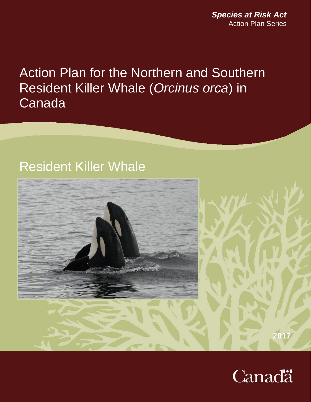*Species at Risk Act* Action Plan Series

Action Plan for the Northern and Southern Resident Killer Whale (*Orcinus orca*) in Canada

# Resident Killer Whale



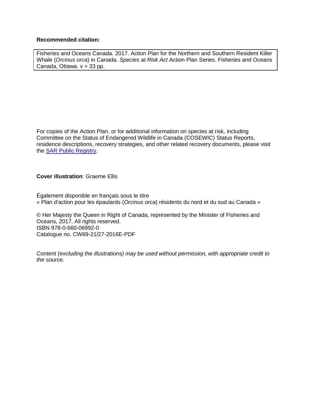### **Recommended citation:**

Fisheries and Oceans Canada. 2017. Action Plan for the Northern and Southern Resident Killer Whale (*Orcinus orca*) in Canada. *Species at Risk Act* Action Plan Series. Fisheries and Oceans Canada, Ottawa. v + 33 pp.

For copies of the Action Plan, or for additional information on species at risk, including Committee on the Status of Endangered Wildlife in Canada (COSEWIC) Status Reports, residence descriptions, recovery strategies, and other related recovery documents, please visit the [SAR Public Registry.](http://www.sararegistry.gc.ca/default.asp?lang=En&n=24F7211B-1)

### **Cover illustration**: Graeme Ellis

Également disponible en français sous le titre « Plan d'action pour les épaulards (*Orcinus orca*) résidents du nord et du sud au Canada »

© Her Majesty the Queen in Right of Canada, represented by the Minister of Fisheries and Oceans, 2017. All rights reserved. ISBN 978-0-660-06992-0 Catalogue no. CW69-21/27-2016E-PDF

*Content (excluding the illustrations) may be used without permission, with appropriate credit to the source.*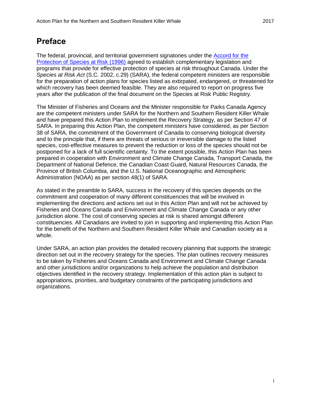## <span id="page-2-0"></span>**Preface**

The federal, provincial, and territorial government signatories under the **Accord for the** [Protection of Species at Risk \(1996\)](http://www.sararegistry.gc.ca/default.asp?lang=En&n=92D90833-1) agreed to establish complementary legislation and programs that provide for effective protection of species at risk throughout Canada. Under the *Species at Risk Act* (S.C. 2002, c.29) (SARA), the federal competent ministers are responsible for the preparation of action plans for species listed as extirpated, endangered, or threatened for which recovery has been deemed feasible. They are also required to report on progress five years after the publication of the final document on the Species at Risk Public Registry.

The Minister of Fisheries and Oceans and the Minister responsible for Parks Canada Agency are the competent ministers under SARA for the Northern and Southern Resident Killer Whale and have prepared this Action Plan to implement the Recovery Strategy, as per Section 47 of SARA. In preparing this Action Plan, the competent ministers have considered, as per Section 38 of SARA, the commitment of the Government of Canada to conserving biological diversity and to the principle that, if there are threats of serious or irreversible damage to the listed species, cost-effective measures to prevent the reduction or loss of the species should not be postponed for a lack of full scientific certainty. To the extent possible, this Action Plan has been prepared in cooperation with Environment and Climate Change Canada, Transport Canada, the Department of National Defence, the Canadian Coast Guard, Natural Resources Canada, the Province of British Columbia, and the U.S. National Oceanographic and Atmospheric Administration (NOAA) as per section 48(1) of SARA.

As stated in the preamble to SARA, success in the recovery of this species depends on the commitment and cooperation of many different constituencies that will be involved in implementing the directions and actions set out in this Action Plan and will not be achieved by Fisheries and Oceans Canada and Environment and Climate Change Canada or any other jurisdiction alone. The cost of conserving species at risk is shared amongst different constituencies. All Canadians are invited to join in supporting and implementing this Action Plan for the benefit of the Northern and Southern Resident Killer Whale and Canadian society as a whole.

Under SARA, an action plan provides the detailed recovery planning that supports the strategic direction set out in the recovery strategy for the species. The plan outlines recovery measures to be taken by Fisheries and Oceans Canada and Environment and Climate Change Canada and other jurisdictions and/or organizations to help achieve the population and distribution objectives identified in the recovery strategy. Implementation of this action plan is subject to appropriations, priorities, and budgetary constraints of the participating jurisdictions and organizations.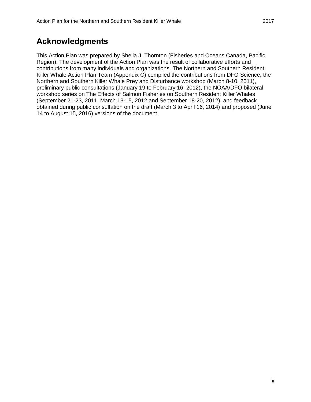## <span id="page-3-0"></span>**Acknowledgments**

<span id="page-3-1"></span>This Action Plan was prepared by Sheila J. Thornton (Fisheries and Oceans Canada, Pacific Region). The development of the Action Plan was the result of collaborative efforts and contributions from many individuals and organizations. The Northern and Southern Resident Killer Whale Action Plan Team (Appendix C) compiled the contributions from DFO Science, the Northern and Southern Killer Whale Prey and Disturbance workshop (March 8-10, 2011), preliminary public consultations (January 19 to February 16, 2012), the NOAA/DFO bilateral workshop series on The Effects of Salmon Fisheries on Southern Resident Killer Whales (September 21-23, 2011, March 13-15, 2012 and September 18-20, 2012), and feedback obtained during public consultation on the draft (March 3 to April 16, 2014) and proposed (June 14 to August 15, 2016) versions of the document.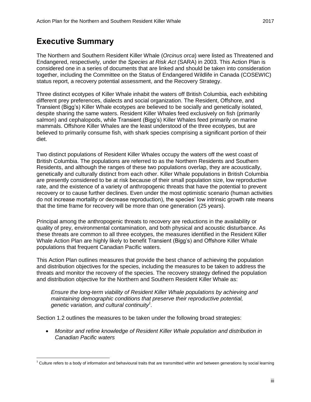## **Executive Summary**

 $\overline{a}$ 

The Northern and Southern Resident Killer Whale (*Orcinus orca*) were listed as Threatened and Endangered, respectively, under the *Species at Risk Act* (SARA) in 2003. This Action Plan is considered one in a series of documents that are linked and should be taken into consideration together, including the Committee on the Status of Endangered Wildlife in Canada (COSEWIC) status report, a recovery potential assessment, and the Recovery Strategy.

Three distinct ecotypes of Killer Whale inhabit the waters off British Columbia, each exhibiting different prey preferences, dialects and social organization. The Resident, Offshore, and Transient (Bigg's) Killer Whale ecotypes are believed to be socially and genetically isolated, despite sharing the same waters. Resident Killer Whales feed exclusively on fish (primarily salmon) and cephalopods, while Transient (Bigg's) Killer Whales feed primarily on marine mammals. Offshore Killer Whales are the least understood of the three ecotypes, but are believed to primarily consume fish, with shark species comprising a significant portion of their diet.

Two distinct populations of Resident Killer Whales occupy the waters off the west coast of British Columbia. The populations are referred to as the Northern Residents and Southern Residents, and although the ranges of these two populations overlap, they are acoustically, genetically and culturally distinct from each other. Killer Whale populations in British Columbia are presently considered to be at risk because of their small population size, low reproductive rate, and the existence of a variety of anthropogenic threats that have the potential to prevent recovery or to cause further declines. Even under the most optimistic scenario (human activities do not increase mortality or decrease reproduction), the species' low intrinsic growth rate means that the time frame for recovery will be more than one generation (25 years).

Principal among the anthropogenic threats to recovery are reductions in the availability or quality of prey, environmental contamination, and both physical and acoustic disturbance. As these threats are common to all three ecotypes, the measures identified in the Resident Killer Whale Action Plan are highly likely to benefit Transient (Bigg's) and Offshore Killer Whale populations that frequent Canadian Pacific waters.

This Action Plan outlines measures that provide the best chance of achieving the population and distribution objectives for the species, including the measures to be taken to address the threats and monitor the recovery of the species. The recovery strategy defined the population and distribution objective for the Northern and Southern Resident Killer Whale as:

*Ensure the long-term viability of Resident Killer Whale populations by achieving and maintaining demographic conditions that preserve their reproductive potential, genetic variation, and cultural continuity<sup>1</sup> .*

Section 1.2 outlines the measures to be taken under the following broad strategies:

 *Monitor and refine knowledge of Resident Killer Whale population and distribution in Canadian Pacific waters*

 $1$  Culture refers to a body of information and behavioural traits that are transmitted within and between generations by social learning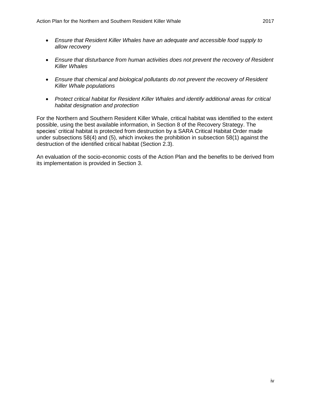- *Ensure that Resident Killer Whales have an adequate and accessible food supply to allow recovery*
- *Ensure that disturbance from human activities does not prevent the recovery of Resident Killer Whales*
- *Ensure that chemical and biological pollutants do not prevent the recovery of Resident Killer Whale populations*
- *Protect critical habitat for Resident Killer Whales and identify additional areas for critical habitat designation and protection*

For the Northern and Southern Resident Killer Whale, critical habitat was identified to the extent possible, using the best available information, in Section 8 of the Recovery Strategy. The species' critical habitat is protected from destruction by a SARA Critical Habitat Order made under subsections 58(4) and (5), which invokes the prohibition in subsection 58(1) against the destruction of the identified critical habitat (Section 2.3).

An evaluation of the socio-economic costs of the Action Plan and the benefits to be derived from its implementation is provided in Section 3.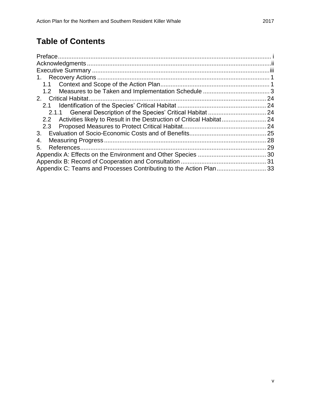## **Table of Contents**

| 2.1                                                                       |  |
|---------------------------------------------------------------------------|--|
|                                                                           |  |
| 2.2 Activities likely to Result in the Destruction of Critical Habitat 24 |  |
|                                                                           |  |
|                                                                           |  |
| 4.                                                                        |  |
| 5.                                                                        |  |
|                                                                           |  |
|                                                                           |  |
| Appendix C: Teams and Processes Contributing to the Action Plan 33        |  |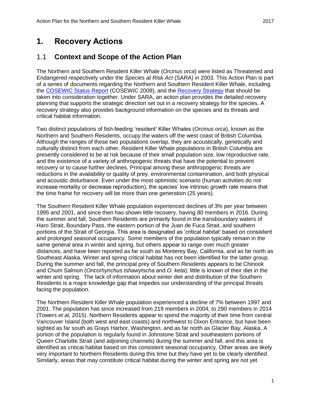## <span id="page-7-0"></span>**1. Recovery Actions**

### <span id="page-7-1"></span>1.1 **Context and Scope of the Action Plan**

The Northern and Southern Resident Killer Whale (*Orcinus orca*) were listed as Threatened and Endangered respectively under the *Species at Risk Act* (SARA) in 2003. This Action Plan is part of a series of documents regarding the Northern and Southern Resident Killer Whale, including the [COSEWIC Status Report](http://www.registrelep-sararegistry.gc.ca/document/default_e.cfm?documentID=1831) (COSEWIC 2009), and the [Recovery Strategy](http://www.sararegistry.gc.ca/document/doc1341a/ind_e.cfm) that should be taken into consideration together. Under SARA, an action plan provides the detailed recovery planning that supports the strategic direction set out in a recovery strategy for the species. A recovery strategy also provides background information on the species and its threats and critical habitat information.

Two distinct populations of fish-feeding 'resident' Killer Whales (*Orcinus orca*), known as the Northern and Southern Residents, occupy the waters off the west coast of British Columbia. Although the ranges of these two populations overlap, they are acoustically, genetically and culturally distinct from each other. Resident Killer Whale populations in British Columbia are presently considered to be at risk because of their small population size, low reproductive rate, and the existence of a variety of anthropogenic threats that have the potential to prevent recovery or to cause further declines. Principal among these anthropogenic threats are reductions in the availability or quality of prey, environmental contamination, and both physical and acoustic disturbance. Even under the most optimistic scenario (human activities do not increase mortality or decrease reproduction), the species' low intrinsic growth rate means that the time frame for recovery will be more than one generation (25 years).

The Southern Resident Killer Whale population experienced declines of 3% per year between 1995 and 2001, and since then has shown little recovery, having 80 members in 2016. During the summer and fall, Southern Residents are primarily found in the transboundary waters of Haro Strait, Boundary Pass, the eastern portion of the Juan de Fuca Strait, and southern portions of the Strait of Georgia. This area is designated as 'critical habitat' based on consistent and prolonged seasonal occupancy. Some members of the population typically remain in the same general area in winter and spring, but others appear to range over much greater distances, and have been reported as far south as Monterey Bay, California, and as far north as Southeast Alaska. Winter and spring critical habitat has not been identified for the latter group. During the summer and fall, the principal prey of Southern Residents appears to be Chinook and Chum Salmon (*Oncorhynchus tshawytscha* and *O. keta*); little is known of their diet in the winter and spring. The lack of information about winter diet and distribution of the Southern Residents is a major knowledge gap that impedes our understanding of the principal threats facing the population.

The Northern Resident Killer Whale population experienced a decline of 7% between 1997 and 2001. The population has since increased from 219 members in 2004, to 290 members in 2014 (Towers *et al,* 2015). Northern Residents appear to spend the majority of their time from central Vancouver Island (both west and east coasts) and northwest to Dixon Entrance, but have been sighted as far south as Grays Harbor, Washington, and as far north as Glacier Bay, Alaska. A portion of the population is regularly found in Johnstone Strait and southeastern portions of Queen Charlotte Strait (and adjoining channels) during the summer and fall, and this area is identified as critical habitat based on this consistent seasonal occupancy. Other areas are likely very important to Northern Residents during this time but they have yet to be clearly identified. Similarly, areas that may constitute critical habitat during the winter and spring are not yet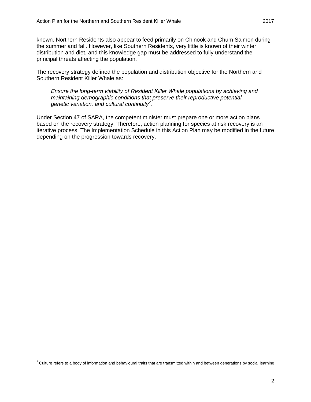known. Northern Residents also appear to feed primarily on Chinook and Chum Salmon during the summer and fall. However, like Southern Residents, very little is known of their winter distribution and diet, and this knowledge gap must be addressed to fully understand the principal threats affecting the population.

The recovery strategy defined the population and distribution objective for the Northern and Southern Resident Killer Whale as:

*Ensure the long-term viability of Resident Killer Whale populations by achieving and maintaining demographic conditions that preserve their reproductive potential, genetic variation, and cultural continuity<sup>2</sup> .*

Under Section 47 of SARA, the competent minister must prepare one or more action plans based on the recovery strategy. Therefore, action planning for species at risk recovery is an iterative process. The Implementation Schedule in this Action Plan may be modified in the future depending on the progression towards recovery.

 $\overline{a}$  $^2$  Culture refers to a body of information and behavioural traits that are transmitted within and between generations by social learning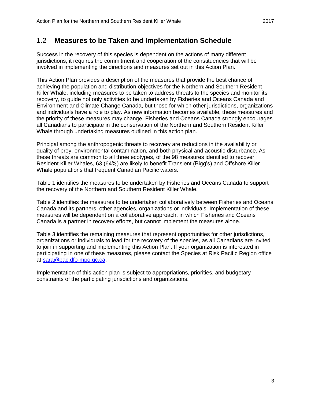### <span id="page-9-0"></span>1.2 **Measures to be Taken and Implementation Schedule**

Success in the recovery of this species is dependent on the actions of many different jurisdictions; it requires the commitment and cooperation of the constituencies that will be involved in implementing the directions and measures set out in this Action Plan.

This Action Plan provides a description of the measures that provide the best chance of achieving the population and distribution objectives for the Northern and Southern Resident Killer Whale, including measures to be taken to address threats to the species and monitor its recovery, to guide not only activities to be undertaken by Fisheries and Oceans Canada and Environment and Climate Change Canada, but those for which other jurisdictions, organizations and individuals have a role to play. As new information becomes available, these measures and the priority of these measures may change. Fisheries and Oceans Canada strongly encourages all Canadians to participate in the conservation of the Northern and Southern Resident Killer Whale through undertaking measures outlined in this action plan.

Principal among the anthropogenic threats to recovery are reductions in the availability or quality of prey, environmental contamination, and both physical and acoustic disturbance. As these threats are common to all three ecotypes, of the 98 measures identified to recover Resident Killer Whales, 63 (64%) are likely to benefit Transient (Bigg's) and Offshore Killer Whale populations that frequent Canadian Pacific waters.

Table 1 identifies the measures to be undertaken by Fisheries and Oceans Canada to support the recovery of the Northern and Southern Resident Killer Whale.

Table 2 identifies the measures to be undertaken collaboratively between Fisheries and Oceans Canada and its partners, other agencies, organizations or individuals. Implementation of these measures will be dependent on a collaborative approach, in which Fisheries and Oceans Canada is a partner in recovery efforts, but cannot implement the measures alone.

Table 3 identifies the remaining measures that represent opportunities for other jurisdictions, organizations or individuals to lead for the recovery of the species, as all Canadians are invited to join in supporting and implementing this Action Plan. If your organization is interested in participating in one of these measures, please contact the Species at Risk Pacific Region office at [sara@pac.dfo-mpo.gc.ca.](mailto:sara@pac.dfo-mpo.gc.ca)

Implementation of this action plan is subject to appropriations, priorities, and budgetary constraints of the participating jurisdictions and organizations.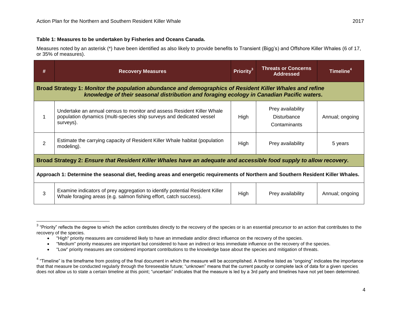#### **Table 1: Measures to be undertaken by Fisheries and Oceans Canada.**

Measures noted by an asterisk (\*) have been identified as also likely to provide benefits to Transient (Bigg's) and Offshore Killer Whales (6 of 17, or 35% of measures).

| #                                                                                                                                                                                                     | <b>Recovery Measures</b>                                                                                                                                    | Priority <sup>3</sup> | <b>Threats or Concerns</b><br><b>Addressed</b>   | Timeline <sup>4</sup> |  |  |
|-------------------------------------------------------------------------------------------------------------------------------------------------------------------------------------------------------|-------------------------------------------------------------------------------------------------------------------------------------------------------------|-----------------------|--------------------------------------------------|-----------------------|--|--|
| Broad Strategy 1: Monitor the population abundance and demographics of Resident Killer Whales and refine<br>knowledge of their seasonal distribution and foraging ecology in Canadian Pacific waters. |                                                                                                                                                             |                       |                                                  |                       |  |  |
|                                                                                                                                                                                                       | Undertake an annual census to monitor and assess Resident Killer Whale<br>population dynamics (multi-species ship surveys and dedicated vessel<br>surveys). | High                  | Prey availability<br>Disturbance<br>Contaminants | Annual; ongoing       |  |  |
| $\overline{2}$                                                                                                                                                                                        | Estimate the carrying capacity of Resident Killer Whale habitat (population<br>modeling).                                                                   | High                  | Prey availability                                | 5 years               |  |  |
| Broad Strategy 2: Ensure that Resident Killer Whales have an adequate and accessible food supply to allow recovery.                                                                                   |                                                                                                                                                             |                       |                                                  |                       |  |  |
| Approach 1: Determine the seasonal diet, feeding areas and energetic requirements of Northern and Southern Resident Killer Whales.                                                                    |                                                                                                                                                             |                       |                                                  |                       |  |  |
| 3                                                                                                                                                                                                     | Examine indicators of prey aggregation to identify potential Resident Killer<br>Whale foraging areas (e.g. salmon fishing effort, catch success).           | High                  | Prey availability                                | Annual; ongoing       |  |  |

The reflects the degree to which the action contributes directly to the recovery of the species or is an essential precursor to an action that contributes to the sterify of the species or is an essential precursor to an ac recovery of the species.

"Low" priority measures are considered important contributions to the knowledge base about the species and mitigation of threats.

"High" priority measures are considered likely to have an immediate and/or direct influence on the recovery of the species.

"Medium" priority measures are important but considered to have an indirect or less immediate influence on the recovery of the species.

 $4$  "Timeline" is the timeframe from posting of the final document in which the measure will be accomplished. A timeline listed as "ongoing" indicates the importance that that measure be conducted regularly through the foreseeable future; "unknown" means that the current paucity or complete lack of data for a given species does not allow us to state a certain timeline at this point; "uncertain" indicates that the measure is led by a 3rd party and timelines have not yet been determined.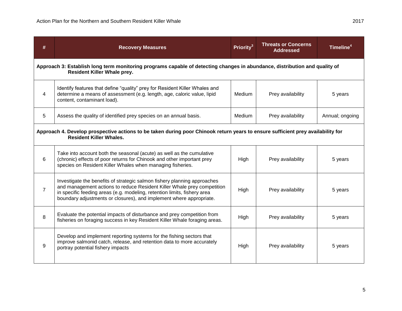| #                                                                                                                                                                 | <b>Recovery Measures</b>                                                                                                                                                                                                                                                                               | Priority <sup>3</sup> | <b>Threats or Concerns</b><br><b>Addressed</b> | Timeline <sup>4</sup> |  |  |
|-------------------------------------------------------------------------------------------------------------------------------------------------------------------|--------------------------------------------------------------------------------------------------------------------------------------------------------------------------------------------------------------------------------------------------------------------------------------------------------|-----------------------|------------------------------------------------|-----------------------|--|--|
| Approach 3: Establish long term monitoring programs capable of detecting changes in abundance, distribution and quality of<br><b>Resident Killer Whale prey.</b>  |                                                                                                                                                                                                                                                                                                        |                       |                                                |                       |  |  |
| $\overline{4}$                                                                                                                                                    | Identify features that define "quality" prey for Resident Killer Whales and<br>determine a means of assessment (e.g. length, age, caloric value, lipid<br>content, contaminant load).                                                                                                                  | Medium                | Prey availability                              | 5 years               |  |  |
| 5                                                                                                                                                                 | Assess the quality of identified prey species on an annual basis.                                                                                                                                                                                                                                      | Medium                | Prey availability                              | Annual; ongoing       |  |  |
| Approach 4. Develop prospective actions to be taken during poor Chinook return years to ensure sufficient prey availability for<br><b>Resident Killer Whales.</b> |                                                                                                                                                                                                                                                                                                        |                       |                                                |                       |  |  |
| 6                                                                                                                                                                 | Take into account both the seasonal (acute) as well as the cumulative<br>(chronic) effects of poor returns for Chinook and other important prey<br>species on Resident Killer Whales when managing fisheries.                                                                                          | High                  | Prey availability                              | 5 years               |  |  |
| $\overline{7}$                                                                                                                                                    | Investigate the benefits of strategic salmon fishery planning approaches<br>and management actions to reduce Resident Killer Whale prey competition<br>in specific feeding areas (e.g. modeling, retention limits, fishery area<br>boundary adjustments or closures), and implement where appropriate. | High                  | Prey availability                              | 5 years               |  |  |
| 8                                                                                                                                                                 | Evaluate the potential impacts of disturbance and prey competition from<br>fisheries on foraging success in key Resident Killer Whale foraging areas.                                                                                                                                                  | High                  | Prey availability                              | 5 years               |  |  |
| 9                                                                                                                                                                 | Develop and implement reporting systems for the fishing sectors that<br>improve salmonid catch, release, and retention data to more accurately<br>portray potential fishery impacts                                                                                                                    | High                  | Prey availability                              | 5 years               |  |  |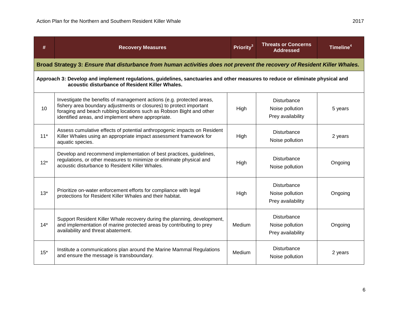| #     | <b>Recovery Measures</b>                                                                                                                                                                                                                                                  | Priority <sup>3</sup> | <b>Threats or Concerns</b><br><b>Addressed</b>             | Timeline <sup>4</sup> |
|-------|---------------------------------------------------------------------------------------------------------------------------------------------------------------------------------------------------------------------------------------------------------------------------|-----------------------|------------------------------------------------------------|-----------------------|
|       | Broad Strategy 3: Ensure that disturbance from human activities does not prevent the recovery of Resident Killer Whales.                                                                                                                                                  |                       |                                                            |                       |
|       | Approach 3: Develop and implement regulations, guidelines, sanctuaries and other measures to reduce or eliminate physical and<br>acoustic disturbance of Resident Killer Whales.                                                                                          |                       |                                                            |                       |
| 10    | Investigate the benefits of management actions (e.g. protected areas,<br>fishery area boundary adjustments or closures) to protect important<br>foraging and beach rubbing locations such as Robson Bight and other<br>identified areas, and implement where appropriate. | High                  | Disturbance<br>Noise pollution<br>Prey availability        | 5 years               |
| $11*$ | Assess cumulative effects of potential anthropogenic impacts on Resident<br>Killer Whales using an appropriate impact assessment framework for<br>aquatic species.                                                                                                        | High                  | <b>Disturbance</b><br>Noise pollution                      | 2 years               |
| $12*$ | Develop and recommend implementation of best practices, guidelines,<br>regulations, or other measures to minimize or eliminate physical and<br>acoustic disturbance to Resident Killer Whales.                                                                            | High                  | <b>Disturbance</b><br>Noise pollution                      | Ongoing               |
| $13*$ | Prioritize on-water enforcement efforts for compliance with legal<br>protections for Resident Killer Whales and their habitat.                                                                                                                                            | High                  | <b>Disturbance</b><br>Noise pollution<br>Prey availability | Ongoing               |
| $14*$ | Support Resident Killer Whale recovery during the planning, development,<br>and implementation of marine protected areas by contributing to prey<br>availability and threat abatement.                                                                                    | Medium                | <b>Disturbance</b><br>Noise pollution<br>Prey availability | Ongoing               |
| $15*$ | Institute a communications plan around the Marine Mammal Regulations<br>and ensure the message is transboundary.                                                                                                                                                          | Medium                | <b>Disturbance</b><br>Noise pollution                      | 2 years               |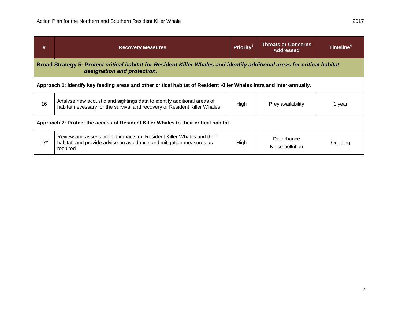$\overline{\phantom{a}}$ 

| #                                                                                                                                                       | <b>Recovery Measures</b>                                                                                                                                  | Priority <sup>31</sup> | <b>Threats or Concerns</b><br><b>Addressed</b> | Timeline <sup>4</sup> |  |  |
|---------------------------------------------------------------------------------------------------------------------------------------------------------|-----------------------------------------------------------------------------------------------------------------------------------------------------------|------------------------|------------------------------------------------|-----------------------|--|--|
| Broad Strategy 5: Protect critical habitat for Resident Killer Whales and identify additional areas for critical habitat<br>designation and protection. |                                                                                                                                                           |                        |                                                |                       |  |  |
| Approach 1: Identify key feeding areas and other critical habitat of Resident Killer Whales intra and inter-annually.                                   |                                                                                                                                                           |                        |                                                |                       |  |  |
| 16                                                                                                                                                      | Analyse new acoustic and sightings data to identify additional areas of<br>habitat necessary for the survival and recovery of Resident Killer Whales.     | High                   | Prey availability                              | 1 year                |  |  |
| Approach 2: Protect the access of Resident Killer Whales to their critical habitat.                                                                     |                                                                                                                                                           |                        |                                                |                       |  |  |
| $17*$                                                                                                                                                   | Review and assess project impacts on Resident Killer Whales and their<br>habitat, and provide advice on avoidance and mitigation measures as<br>required. | High                   | Disturbance<br>Noise pollution                 | Ongoing               |  |  |

<u> 1989 - Johann Stoff, amerikansk politiker (d. 1989)</u>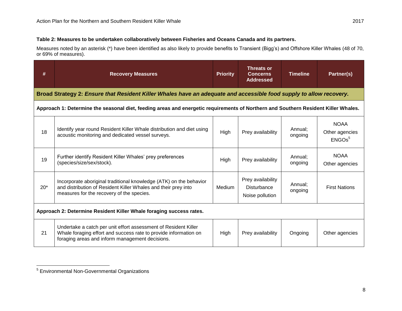#### **Table 2: Measures to be undertaken collaboratively between Fisheries and Oceans Canada and its partners.**

Measures noted by an asterisk (\*) have been identified as also likely to provide benefits to Transient (Bigg's) and Offshore Killer Whales (48 of 70, or 69% of measures).

| #                                                                   | <b>Recovery Measures</b>                                                                                                                                                               | <b>Priority</b> | Threats or<br><b>Concerns</b><br><b>Addressed</b>          | <b>Timeline</b>    | Partner(s)                                          |
|---------------------------------------------------------------------|----------------------------------------------------------------------------------------------------------------------------------------------------------------------------------------|-----------------|------------------------------------------------------------|--------------------|-----------------------------------------------------|
|                                                                     | Broad Strategy 2: Ensure that Resident Killer Whales have an adequate and accessible food supply to allow recovery.                                                                    |                 |                                                            |                    |                                                     |
|                                                                     | Approach 1: Determine the seasonal diet, feeding areas and energetic requirements of Northern and Southern Resident Killer Whales.                                                     |                 |                                                            |                    |                                                     |
| 18                                                                  | Identify year round Resident Killer Whale distribution and diet using<br>acoustic monitoring and dedicated vessel surveys.                                                             | High            | Prey availability                                          | Annual;<br>ongoing | <b>NOAA</b><br>Other agencies<br>ENGOs <sup>5</sup> |
| 19                                                                  | Further identify Resident Killer Whales' prey preferences<br>(species/size/sex/stock).                                                                                                 | High            | Prey availability                                          | Annual;<br>ongoing | <b>NOAA</b><br>Other agencies                       |
| $20*$                                                               | Incorporate aboriginal traditional knowledge (ATK) on the behavior<br>and distribution of Resident Killer Whales and their prey into<br>measures for the recovery of the species.      | Medium          | Prey availability<br><b>Disturbance</b><br>Noise pollution | Annual:<br>ongoing | <b>First Nations</b>                                |
| Approach 2: Determine Resident Killer Whale foraging success rates. |                                                                                                                                                                                        |                 |                                                            |                    |                                                     |
| 21                                                                  | Undertake a catch per unit effort assessment of Resident Killer<br>Whale foraging effort and success rate to provide information on<br>foraging areas and inform management decisions. | High            | Prey availability                                          | Ongoing            | Other agencies                                      |

 5 Environmental Non-Governmental Organizations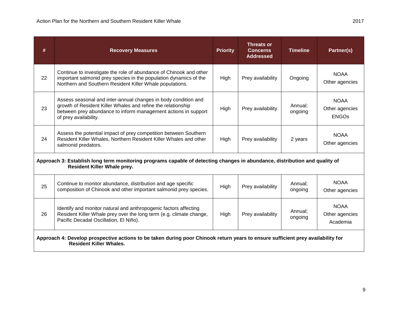| #                                                                                                                                                                 | <b>Recovery Measures</b>                                                                                                                                                                                                  | <b>Priority</b> | <b>Threats or</b><br><b>Concerns</b><br><b>Addressed</b> | <b>Timeline</b>    | Partner(s)                                    |  |
|-------------------------------------------------------------------------------------------------------------------------------------------------------------------|---------------------------------------------------------------------------------------------------------------------------------------------------------------------------------------------------------------------------|-----------------|----------------------------------------------------------|--------------------|-----------------------------------------------|--|
| 22                                                                                                                                                                | Continue to investigate the role of abundance of Chinook and other<br>important salmonid prey species in the population dynamics of the<br>Northern and Southern Resident Killer Whale populations.                       | High            | Prey availability                                        | Ongoing            | <b>NOAA</b><br>Other agencies                 |  |
| 23                                                                                                                                                                | Assess seasonal and inter-annual changes in body condition and<br>growth of Resident Killer Whales and refine the relationship<br>between prey abundance to inform management actions in support<br>of prey availability. | High            | Prey availability                                        | Annual;<br>ongoing | <b>NOAA</b><br>Other agencies<br><b>ENGOs</b> |  |
| 24                                                                                                                                                                | Assess the potential impact of prey competition between Southern<br>Resident Killer Whales, Northern Resident Killer Whales and other<br>salmonid predators.                                                              | High            | Prey availability                                        | 2 years            | <b>NOAA</b><br>Other agencies                 |  |
| Approach 3: Establish long term monitoring programs capable of detecting changes in abundance, distribution and quality of<br><b>Resident Killer Whale prey.</b>  |                                                                                                                                                                                                                           |                 |                                                          |                    |                                               |  |
| 25                                                                                                                                                                | Continue to monitor abundance, distribution and age specific<br>composition of Chinook and other important salmonid prey species.                                                                                         | High            | Prey availability                                        | Annual;<br>ongoing | <b>NOAA</b><br>Other agencies                 |  |
| 26                                                                                                                                                                | Identify and monitor natural and anthropogenic factors affecting<br>Resident Killer Whale prey over the long term (e.g. climate change,<br>Pacific Decadal Oscillation, El Niño).                                         | High            | Prey availability                                        | Annual:<br>ongoing | <b>NOAA</b><br>Other agencies<br>Academia     |  |
| Approach 4: Develop prospective actions to be taken during poor Chinook return years to ensure sufficient prey availability for<br><b>Resident Killer Whales.</b> |                                                                                                                                                                                                                           |                 |                                                          |                    |                                               |  |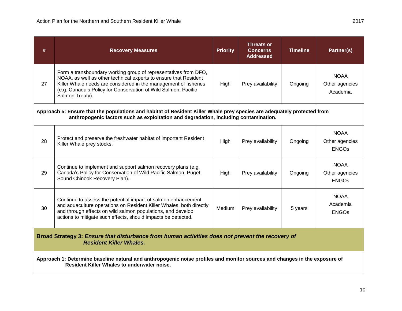| #                                                                                                                                                                         | <b>Recovery Measures</b>                                                                                                                                                                                                                                                                     | <b>Priority</b> | <b>Threats or</b><br><b>Concerns</b><br><b>Addressed</b> | <b>Timeline</b> | Partner(s)                                    |  |
|---------------------------------------------------------------------------------------------------------------------------------------------------------------------------|----------------------------------------------------------------------------------------------------------------------------------------------------------------------------------------------------------------------------------------------------------------------------------------------|-----------------|----------------------------------------------------------|-----------------|-----------------------------------------------|--|
| 27                                                                                                                                                                        | Form a transboundary working group of representatives from DFO,<br>NOAA, as well as other technical experts to ensure that Resident<br>Killer Whale needs are considered in the management of fisheries<br>(e.g. Canada's Policy for Conservation of Wild Salmon, Pacific<br>Salmon Treaty). | High            | Prey availability                                        | Ongoing         | <b>NOAA</b><br>Other agencies<br>Academia     |  |
|                                                                                                                                                                           | Approach 5: Ensure that the populations and habitat of Resident Killer Whale prey species are adequately protected from<br>anthropogenic factors such as exploitation and degradation, including contamination.                                                                              |                 |                                                          |                 |                                               |  |
| 28                                                                                                                                                                        | Protect and preserve the freshwater habitat of important Resident<br>Killer Whale prey stocks.                                                                                                                                                                                               | High            | Prey availability                                        | Ongoing         | <b>NOAA</b><br>Other agencies<br><b>ENGOS</b> |  |
| 29                                                                                                                                                                        | Continue to implement and support salmon recovery plans (e.g.<br>Canada's Policy for Conservation of Wild Pacific Salmon, Puget<br>Sound Chinook Recovery Plan).                                                                                                                             | High            | Prey availability                                        | Ongoing         | <b>NOAA</b><br>Other agencies<br><b>ENGOS</b> |  |
| 30                                                                                                                                                                        | Continue to assess the potential impact of salmon enhancement<br>and aquaculture operations on Resident Killer Whales, both directly<br>and through effects on wild salmon populations, and develop<br>actions to mitigate such effects, should impacts be detected.                         | Medium          | Prey availability                                        | 5 years         | <b>NOAA</b><br>Academia<br><b>ENGOS</b>       |  |
| Broad Strategy 3: Ensure that disturbance from human activities does not prevent the recovery of<br><b>Resident Killer Whales.</b>                                        |                                                                                                                                                                                                                                                                                              |                 |                                                          |                 |                                               |  |
| Approach 1: Determine baseline natural and anthropogenic noise profiles and monitor sources and changes in the exposure of<br>Resident Killer Whales to underwater noise. |                                                                                                                                                                                                                                                                                              |                 |                                                          |                 |                                               |  |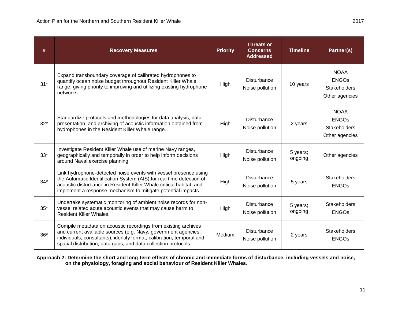| #     | <b>Recovery Measures</b>                                                                                                                                                                                                                                                         | <b>Priority</b> | <b>Threats or</b><br><b>Concerns</b><br><b>Addressed</b> | <b>Timeline</b>     | Partner(s)                                                    |  |  |
|-------|----------------------------------------------------------------------------------------------------------------------------------------------------------------------------------------------------------------------------------------------------------------------------------|-----------------|----------------------------------------------------------|---------------------|---------------------------------------------------------------|--|--|
| $31*$ | Expand transboundary coverage of calibrated hydrophones to<br>quantify ocean noise budget throughout Resident Killer Whale<br>range, giving priority to improving and utilizing existing hydrophone<br>networks.                                                                 | High            | Disturbance<br>Noise pollution                           | 10 years            | <b>NOAA</b><br><b>ENGOs</b><br>Stakeholders<br>Other agencies |  |  |
| $32*$ | Standardize protocols and methodologies for data analysis, data<br>presentation, and archiving of acoustic information obtained from<br>hydrophones in the Resident Killer Whale range.                                                                                          | High            | Disturbance<br>Noise pollution                           | 2 years             | <b>NOAA</b><br><b>ENGOs</b><br>Stakeholders<br>Other agencies |  |  |
| $33*$ | Investigate Resident Killer Whale use of marine Navy ranges,<br>geographically and temporally in order to help inform decisions<br>around Naval exercise planning.                                                                                                               | High            | Disturbance<br>Noise pollution                           | 5 years;<br>ongoing | Other agencies                                                |  |  |
| $34*$ | Link hydrophone-detected noise events with vessel presence using<br>the Automatic Identification System (AIS) for real time detection of<br>acoustic disturbance in Resident Killer Whale critical habitat, and<br>implement a response mechanism to mitigate potential impacts. | High            | <b>Disturbance</b><br>Noise pollution                    | 5 years             | <b>Stakeholders</b><br><b>ENGOs</b>                           |  |  |
| $35*$ | Undertake systematic monitoring of ambient noise records for non-<br>vessel related acute acoustic events that may cause harm to<br><b>Resident Killer Whales.</b>                                                                                                               | High            | <b>Disturbance</b><br>Noise pollution                    | 5 years;<br>ongoing | <b>Stakeholders</b><br><b>ENGOs</b>                           |  |  |
| $36*$ | Compile metadata on acoustic recordings from existing archives<br>and current available sources (e.g. Navy, government agencies,<br>individuals, consultants); identify format, calibration, temporal and<br>spatial distribution, data gaps, and data collection protocols.     | Medium          | Disturbance<br>Noise pollution                           | 2 years             | <b>Stakeholders</b><br><b>ENGOs</b>                           |  |  |
|       | Approach 2: Determine the short and long-term effects of chronic and immediate forms of disturbance, including vessels and noise,<br>on the physiology, foraging and social behaviour of Resident Killer Whales.                                                                 |                 |                                                          |                     |                                                               |  |  |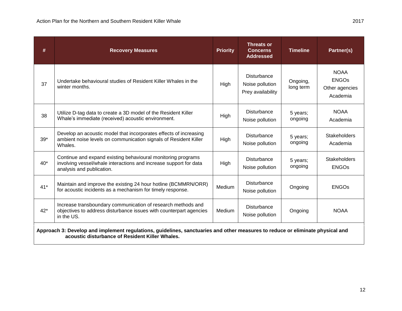| #     | <b>Recovery Measures</b>                                                                                                                                                         | <b>Priority</b> | <b>Threats or</b><br><b>Concerns</b><br><b>Addressed</b>   | <b>Timeline</b>       | Partner(s)                                                |  |
|-------|----------------------------------------------------------------------------------------------------------------------------------------------------------------------------------|-----------------|------------------------------------------------------------|-----------------------|-----------------------------------------------------------|--|
| 37    | Undertake behavioural studies of Resident Killer Whales in the<br>winter months.                                                                                                 | High            | <b>Disturbance</b><br>Noise pollution<br>Prey availability | Ongoing,<br>long term | <b>NOAA</b><br><b>ENGOs</b><br>Other agencies<br>Academia |  |
| 38    | Utilize D-tag data to create a 3D model of the Resident Killer<br>Whale's immediate (received) acoustic environment.                                                             | High            | <b>Disturbance</b><br>Noise pollution                      | 5 years;<br>ongoing   | <b>NOAA</b><br>Academia                                   |  |
| $39*$ | Develop an acoustic model that incorporates effects of increasing<br>ambient noise levels on communication signals of Resident Killer<br>Whales.                                 | High            | Disturbance<br>Noise pollution                             | 5 years;<br>ongoing   | <b>Stakeholders</b><br>Academia                           |  |
| $40*$ | Continue and expand existing behavioural monitoring programs<br>involving vessel/whale interactions and increase support for data<br>analysis and publication.                   | High            | <b>Disturbance</b><br>Noise pollution                      | 5 years;<br>ongoing   | <b>Stakeholders</b><br><b>ENGOs</b>                       |  |
| $41*$ | Maintain and improve the existing 24 hour hotline (BCMMRN/ORR)<br>for acoustic incidents as a mechanism for timely response.                                                     | Medium          | <b>Disturbance</b><br>Noise pollution                      | Ongoing               | <b>ENGOs</b>                                              |  |
| $42*$ | Increase transboundary communication of research methods and<br>objectives to address disturbance issues with counterpart agencies<br>in the US.                                 | Medium          | <b>Disturbance</b><br>Noise pollution                      | Ongoing               | <b>NOAA</b>                                               |  |
|       | Approach 3: Develop and implement regulations, guidelines, sanctuaries and other measures to reduce or eliminate physical and<br>acoustic disturbance of Resident Killer Whales. |                 |                                                            |                       |                                                           |  |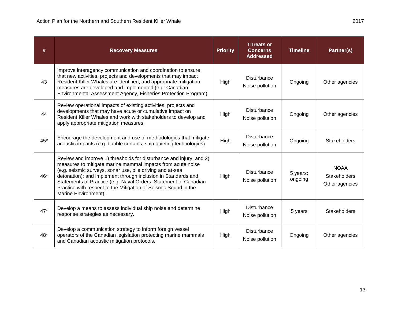| #     | <b>Recovery Measures</b>                                                                                                                                                                                                                                                                                                                                                                                                        | <b>Priority</b> | <b>Threats or</b><br><b>Concerns</b><br><b>Addressed</b> | <b>Timeline</b>     | Partner(s)                                           |
|-------|---------------------------------------------------------------------------------------------------------------------------------------------------------------------------------------------------------------------------------------------------------------------------------------------------------------------------------------------------------------------------------------------------------------------------------|-----------------|----------------------------------------------------------|---------------------|------------------------------------------------------|
| 43    | Improve interagency communication and coordination to ensure<br>that new activities, projects and developments that may impact<br>Resident Killer Whales are identified, and appropriate mitigation<br>measures are developed and implemented (e.g. Canadian<br>Environmental Assessment Agency, Fisheries Protection Program).                                                                                                 | High            | <b>Disturbance</b><br>Noise pollution                    | Ongoing             | Other agencies                                       |
| 44    | Review operational impacts of existing activities, projects and<br>developments that may have acute or cumulative impact on<br>Resident Killer Whales and work with stakeholders to develop and<br>apply appropriate mitigation measures.                                                                                                                                                                                       | High            | <b>Disturbance</b><br>Noise pollution                    | Ongoing             | Other agencies                                       |
| $45*$ | Encourage the development and use of methodologies that mitigate<br>acoustic impacts (e.g. bubble curtains, ship quieting technologies).                                                                                                                                                                                                                                                                                        | High            | <b>Disturbance</b><br>Noise pollution                    | Ongoing             | <b>Stakeholders</b>                                  |
| $46*$ | Review and improve 1) thresholds for disturbance and injury, and 2)<br>measures to mitigate marine mammal impacts from acute noise<br>(e.g. seismic surveys, sonar use, pile driving and at-sea<br>detonation); and implement through inclusion in Standards and<br>Statements of Practice (e.g. Naval Orders, Statement of Canadian<br>Practice with respect to the Mitigation of Seismic Sound in the<br>Marine Environment). | High            | <b>Disturbance</b><br>Noise pollution                    | 5 years;<br>ongoing | <b>NOAA</b><br><b>Stakeholders</b><br>Other agencies |
| $47*$ | Develop a means to assess individual ship noise and determine<br>response strategies as necessary.                                                                                                                                                                                                                                                                                                                              | High            | <b>Disturbance</b><br>Noise pollution                    | 5 years             | <b>Stakeholders</b>                                  |
| 48*   | Develop a communication strategy to inform foreign vessel<br>operators of the Canadian legislation protecting marine mammals<br>and Canadian acoustic mitigation protocols.                                                                                                                                                                                                                                                     | High            | <b>Disturbance</b><br>Noise pollution                    | Ongoing             | Other agencies                                       |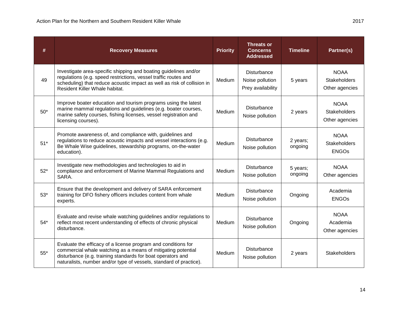| #     | <b>Recovery Measures</b>                                                                                                                                                                                                                                           | <b>Priority</b> | <b>Threats or</b><br><b>Concerns</b><br><b>Addressed</b>   | <b>Timeline</b>     | Partner(s)                                           |
|-------|--------------------------------------------------------------------------------------------------------------------------------------------------------------------------------------------------------------------------------------------------------------------|-----------------|------------------------------------------------------------|---------------------|------------------------------------------------------|
| 49    | Investigate area-specific shipping and boating guidelines and/or<br>regulations (e.g. speed restrictions, vessel traffic routes and<br>scheduling) that reduce acoustic impact as well as risk of collision in<br>Resident Killer Whale habitat.                   | Medium          | <b>Disturbance</b><br>Noise pollution<br>Prey availability | 5 years             | <b>NOAA</b><br><b>Stakeholders</b><br>Other agencies |
| $50*$ | Improve boater education and tourism programs using the latest<br>marine mammal regulations and guidelines (e.g. boater courses,<br>marine safety courses, fishing licenses, vessel registration and<br>licensing courses).                                        | Medium          | <b>Disturbance</b><br>Noise pollution                      | 2 years             | <b>NOAA</b><br><b>Stakeholders</b><br>Other agencies |
| $51*$ | Promote awareness of, and compliance with, guidelines and<br>regulations to reduce acoustic impacts and vessel interactions (e.g.<br>Be Whale Wise guidelines, stewardship programs, on-the-water<br>education).                                                   | Medium          | Disturbance<br>Noise pollution                             | 2 years;<br>ongoing | <b>NOAA</b><br>Stakeholders<br><b>ENGOs</b>          |
| $52*$ | Investigate new methodologies and technologies to aid in<br>compliance and enforcement of Marine Mammal Regulations and<br>SARA.                                                                                                                                   | Medium          | <b>Disturbance</b><br>Noise pollution                      | 5 years;<br>ongoing | <b>NOAA</b><br>Other agencies                        |
| $53*$ | Ensure that the development and delivery of SARA enforcement<br>training for DFO fishery officers includes content from whale<br>experts.                                                                                                                          | Medium          | <b>Disturbance</b><br>Noise pollution                      | Ongoing             | Academia<br><b>ENGOS</b>                             |
| $54*$ | Evaluate and revise whale watching guidelines and/or regulations to<br>reflect most recent understanding of effects of chronic physical<br>disturbance.                                                                                                            | Medium          | Disturbance<br>Noise pollution                             | Ongoing             | <b>NOAA</b><br>Academia<br>Other agencies            |
| $55*$ | Evaluate the efficacy of a license program and conditions for<br>commercial whale watching as a means of mitigating potential<br>disturbance (e.g. training standards for boat operators and<br>naturalists, number and/or type of vessels, standard of practice). | Medium          | <b>Disturbance</b><br>Noise pollution                      | 2 years             | Stakeholders                                         |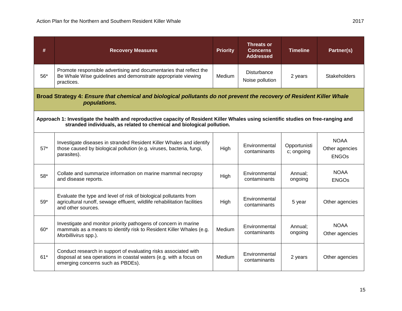| #     | <b>Recovery Measures</b>                                                                                                                                                                                      | <b>Priority</b> | <b>Threats or</b><br><b>Concerns</b><br><b>Addressed</b> | <b>Timeline</b>            | Partner(s)                                    |
|-------|---------------------------------------------------------------------------------------------------------------------------------------------------------------------------------------------------------------|-----------------|----------------------------------------------------------|----------------------------|-----------------------------------------------|
| $56*$ | Promote responsible advertising and documentaries that reflect the<br>Be Whale Wise guidelines and demonstrate appropriate viewing<br>practices.                                                              | Medium          | <b>Disturbance</b><br>Noise pollution                    | 2 years                    | <b>Stakeholders</b>                           |
|       | Broad Strategy 4: Ensure that chemical and biological pollutants do not prevent the recovery of Resident Killer Whale<br>populations.                                                                         |                 |                                                          |                            |                                               |
|       | Approach 1: Investigate the health and reproductive capacity of Resident Killer Whales using scientific studies on free-ranging and<br>stranded individuals, as related to chemical and biological pollution. |                 |                                                          |                            |                                               |
| $57*$ | Investigate diseases in stranded Resident Killer Whales and identify<br>those caused by biological pollution (e.g. viruses, bacteria, fungi,<br>parasites).                                                   | High            | Environmental<br>contaminants                            | Opportunisti<br>c; ongoing | <b>NOAA</b><br>Other agencies<br><b>ENGOs</b> |
| 58*   | Collate and summarize information on marine mammal necropsy<br>and disease reports.                                                                                                                           | High            | Environmental<br>contaminants                            | Annual;<br>ongoing         | <b>NOAA</b><br><b>ENGOs</b>                   |
| $59*$ | Evaluate the type and level of risk of biological pollutants from<br>agricultural runoff, sewage effluent, wildlife rehabilitation facilities<br>and other sources.                                           | High            | Environmental<br>contaminants                            | 5 year                     | Other agencies                                |
| $60*$ | Investigate and monitor priority pathogens of concern in marine<br>mammals as a means to identify risk to Resident Killer Whales (e.g.<br>Morbillivirus spp.).                                                | Medium          | Environmental<br>contaminants                            | Annual:<br>ongoing         | <b>NOAA</b><br>Other agencies                 |
| $61*$ | Conduct research in support of evaluating risks associated with<br>disposal at sea operations in coastal waters (e.g. with a focus on<br>emerging concerns such as PBDEs).                                    | Medium          | Environmental<br>contaminants                            | 2 years                    | Other agencies                                |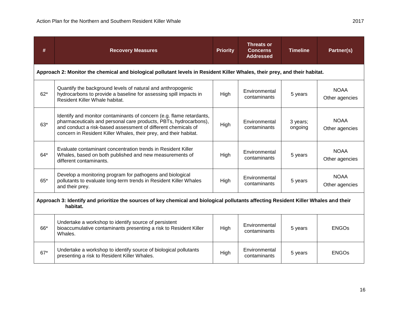| #                                                                                                                                                | <b>Recovery Measures</b>                                                                                                                                                                                                                                                       | <b>Priority</b> | <b>Threats or</b><br><b>Concerns</b><br><b>Addressed</b> | <b>Timeline</b>     | Partner(s)                    |
|--------------------------------------------------------------------------------------------------------------------------------------------------|--------------------------------------------------------------------------------------------------------------------------------------------------------------------------------------------------------------------------------------------------------------------------------|-----------------|----------------------------------------------------------|---------------------|-------------------------------|
|                                                                                                                                                  | Approach 2: Monitor the chemical and biological pollutant levels in Resident Killer Whales, their prey, and their habitat.                                                                                                                                                     |                 |                                                          |                     |                               |
| $62*$                                                                                                                                            | Quantify the background levels of natural and anthropogenic<br>hydrocarbons to provide a baseline for assessing spill impacts in<br>Resident Killer Whale habitat.                                                                                                             | High            | Environmental<br>contaminants                            | 5 years             | <b>NOAA</b><br>Other agencies |
| $63*$                                                                                                                                            | Identify and monitor contaminants of concern (e.g. flame retardants,<br>pharmaceuticals and personal care products, PBTs, hydrocarbons),<br>and conduct a risk-based assessment of different chemicals of<br>concern in Resident Killer Whales, their prey, and their habitat. | High            | Environmental<br>contaminants                            | 3 years;<br>ongoing | <b>NOAA</b><br>Other agencies |
| $64*$                                                                                                                                            | Evaluate contaminant concentration trends in Resident Killer<br>Whales, based on both published and new measurements of<br>different contaminants.                                                                                                                             | High            | Environmental<br>contaminants                            | 5 years             | <b>NOAA</b><br>Other agencies |
| 65*                                                                                                                                              | Develop a monitoring program for pathogens and biological<br>pollutants to evaluate long-term trends in Resident Killer Whales<br>and their prey.                                                                                                                              | High            | Environmental<br>contaminants                            | 5 years             | <b>NOAA</b><br>Other agencies |
| Approach 3: Identify and prioritize the sources of key chemical and biological pollutants affecting Resident Killer Whales and their<br>habitat. |                                                                                                                                                                                                                                                                                |                 |                                                          |                     |                               |
| 66*                                                                                                                                              | Undertake a workshop to identify source of persistent<br>bioaccumulative contaminants presenting a risk to Resident Killer<br>Whales.                                                                                                                                          | High            | Environmental<br>contaminants                            | 5 years             | <b>ENGOs</b>                  |
| $67*$                                                                                                                                            | Undertake a workshop to identify source of biological pollutants<br>presenting a risk to Resident Killer Whales.                                                                                                                                                               | High            | Environmental<br>contaminants                            | 5 years             | <b>ENGOS</b>                  |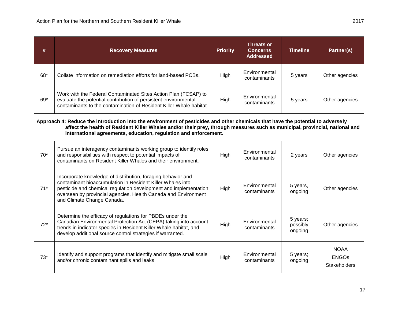| #     | <b>Recovery Measures</b>                                                                                                                                                                                                                                                                                                           | <b>Priority</b> | <b>Threats or</b><br><b>Concerns</b><br><b>Addressed</b> | <b>Timeline</b>                 | Partner(s)                                  |
|-------|------------------------------------------------------------------------------------------------------------------------------------------------------------------------------------------------------------------------------------------------------------------------------------------------------------------------------------|-----------------|----------------------------------------------------------|---------------------------------|---------------------------------------------|
| 68*   | Collate information on remediation efforts for land-based PCBs.                                                                                                                                                                                                                                                                    | High            | Environmental<br>contaminants                            | 5 years                         | Other agencies                              |
| 69*   | Work with the Federal Contaminated Sites Action Plan (FCSAP) to<br>evaluate the potential contribution of persistent environmental<br>contaminants to the contamination of Resident Killer Whale habitat.                                                                                                                          | High            | Environmental<br>contaminants                            | 5 years                         | Other agencies                              |
|       | Approach 4: Reduce the introduction into the environment of pesticides and other chemicals that have the potential to adversely<br>affect the health of Resident Killer Whales and/or their prey, through measures such as municipal, provincial, national and<br>international agreements, education, regulation and enforcement. |                 |                                                          |                                 |                                             |
| $70*$ | Pursue an interagency contaminants working group to identify roles<br>and responsibilities with respect to potential impacts of<br>contaminants on Resident Killer Whales and their environment.                                                                                                                                   | High            | Environmental<br>contaminants                            | 2 years                         | Other agencies                              |
| $71*$ | Incorporate knowledge of distribution, foraging behavior and<br>contaminant bioaccumulation in Resident Killer Whales into<br>pesticide and chemical regulation development and implementation<br>overseen by provincial agencies, Health Canada and Environment<br>and Climate Change Canada.                                     | High            | Environmental<br>contaminants                            | 5 years,<br>ongoing             | Other agencies                              |
| $72*$ | Determine the efficacy of regulations for PBDEs under the<br>Canadian Environmental Protection Act (CEPA) taking into account<br>trends in indicator species in Resident Killer Whale habitat, and<br>develop additional source control strategies if warranted.                                                                   | High            | Environmental<br>contaminants                            | 5 years;<br>possibly<br>ongoing | Other agencies                              |
| $73*$ | Identify and support programs that identify and mitigate small scale<br>and/or chronic contaminant spills and leaks.                                                                                                                                                                                                               | High            | Environmental<br>contaminants                            | 5 years;<br>ongoing             | <b>NOAA</b><br><b>ENGOs</b><br>Stakeholders |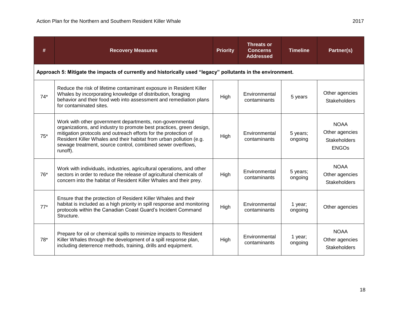| #     | <b>Recovery Measures</b>                                                                                                                                                                                                                                                                                                                              | <b>Priority</b> | <b>Threats or</b><br><b>Concerns</b><br><b>Addressed</b> | <b>Timeline</b>     | Partner(s)                                                           |
|-------|-------------------------------------------------------------------------------------------------------------------------------------------------------------------------------------------------------------------------------------------------------------------------------------------------------------------------------------------------------|-----------------|----------------------------------------------------------|---------------------|----------------------------------------------------------------------|
|       | Approach 5: Mitigate the impacts of currently and historically used "legacy" pollutants in the environment.                                                                                                                                                                                                                                           |                 |                                                          |                     |                                                                      |
| $74*$ | Reduce the risk of lifetime contaminant exposure in Resident Killer<br>Whales by incorporating knowledge of distribution, foraging<br>behavior and their food web into assessment and remediation plans<br>for contaminated sites.                                                                                                                    | High            | Environmental<br>contaminants                            | 5 years             | Other agencies<br><b>Stakeholders</b>                                |
| $75*$ | Work with other government departments, non-governmental<br>organizations, and industry to promote best practices, green design,<br>mitigation protocols and outreach efforts for the protection of<br>Resident Killer Whales and their habitat from urban pollution (e.g.<br>sewage treatment, source control, combined sewer overflows,<br>runoff). | High            | Environmental<br>contaminants                            | 5 years;<br>ongoing | <b>NOAA</b><br>Other agencies<br><b>Stakeholders</b><br><b>ENGOs</b> |
| $76*$ | Work with individuals, industries, agricultural operations, and other<br>sectors in order to reduce the release of agricultural chemicals of<br>concern into the habitat of Resident Killer Whales and their prey.                                                                                                                                    | High            | Environmental<br>contaminants                            | 5 years;<br>ongoing | <b>NOAA</b><br>Other agencies<br><b>Stakeholders</b>                 |
| $77*$ | Ensure that the protection of Resident Killer Whales and their<br>habitat is included as a high priority in spill response and monitoring<br>protocols within the Canadian Coast Guard's Incident Command<br>Structure.                                                                                                                               | High            | Environmental<br>contaminants                            | 1 year;<br>ongoing  | Other agencies                                                       |
| $78*$ | Prepare for oil or chemical spills to minimize impacts to Resident<br>Killer Whales through the development of a spill response plan,<br>including deterrence methods, training, drills and equipment.                                                                                                                                                | High            | Environmental<br>contaminants                            | 1 year;<br>ongoing  | <b>NOAA</b><br>Other agencies<br><b>Stakeholders</b>                 |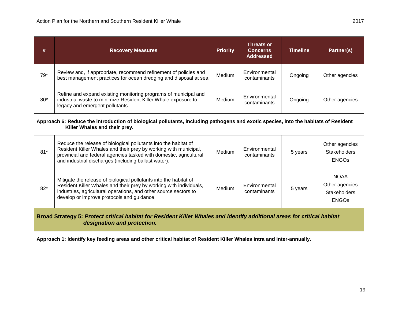| #                                                                                                                                                                    | <b>Recovery Measures</b>                                                                                                                                                                                                                                          | <b>Priority</b> | <b>Threats or</b><br><b>Concerns</b><br><b>Addressed</b> | <b>Timeline</b> | Partner(s)                                                    |
|----------------------------------------------------------------------------------------------------------------------------------------------------------------------|-------------------------------------------------------------------------------------------------------------------------------------------------------------------------------------------------------------------------------------------------------------------|-----------------|----------------------------------------------------------|-----------------|---------------------------------------------------------------|
| $79*$                                                                                                                                                                | Review and, if appropriate, recommend refinement of policies and<br>best management practices for ocean dredging and disposal at sea.                                                                                                                             | Medium          | Environmental<br>contaminants                            | Ongoing         | Other agencies                                                |
| $80*$                                                                                                                                                                | Refine and expand existing monitoring programs of municipal and<br>industrial waste to minimize Resident Killer Whale exposure to<br>legacy and emergent pollutants.                                                                                              | Medium          | Environmental<br>contaminants                            | Ongoing         | Other agencies                                                |
| Approach 6: Reduce the introduction of biological pollutants, including pathogens and exotic species, into the habitats of Resident<br>Killer Whales and their prey. |                                                                                                                                                                                                                                                                   |                 |                                                          |                 |                                                               |
| $81*$                                                                                                                                                                | Reduce the release of biological pollutants into the habitat of<br>Resident Killer Whales and their prey by working with municipal,<br>provincial and federal agencies tasked with domestic, agricultural<br>and industrial discharges (including ballast water). | Medium          | Environmental<br>contaminants                            | 5 years         | Other agencies<br><b>Stakeholders</b><br><b>ENGOS</b>         |
| $82*$                                                                                                                                                                | Mitigate the release of biological pollutants into the habitat of<br>Resident Killer Whales and their prey by working with individuals,<br>industries, agricultural operations, and other source sectors to<br>develop or improve protocols and guidance.         | Medium          | Environmental<br>contaminants                            | 5 years         | <b>NOAA</b><br>Other agencies<br>Stakeholders<br><b>ENGOS</b> |
| Broad Strategy 5: Protect critical habitat for Resident Killer Whales and identify additional areas for critical habitat<br>designation and protection.              |                                                                                                                                                                                                                                                                   |                 |                                                          |                 |                                                               |
|                                                                                                                                                                      | Approach 1: Identify key feeding areas and other critical habitat of Resident Killer Whales intra and inter-annually.                                                                                                                                             |                 |                                                          |                 |                                                               |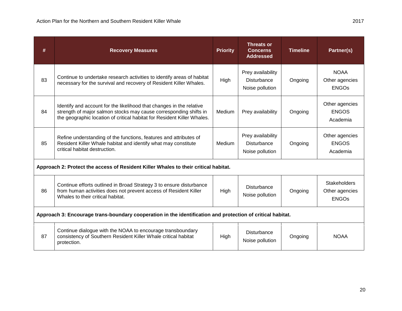| #                                                                                                          | <b>Recovery Measures</b>                                                                                                                                                                                             | <b>Priority</b> | <b>Threats or</b><br><b>Concerns</b><br><b>Addressed</b>   | <b>Timeline</b> | Partner(s)                                            |
|------------------------------------------------------------------------------------------------------------|----------------------------------------------------------------------------------------------------------------------------------------------------------------------------------------------------------------------|-----------------|------------------------------------------------------------|-----------------|-------------------------------------------------------|
| 83                                                                                                         | Continue to undertake research activities to identify areas of habitat<br>necessary for the survival and recovery of Resident Killer Whales.                                                                         | High            | Prey availability<br>Disturbance<br>Noise pollution        | Ongoing         | <b>NOAA</b><br>Other agencies<br><b>ENGOS</b>         |
| 84                                                                                                         | Identify and account for the likelihood that changes in the relative<br>strength of major salmon stocks may cause corresponding shifts in<br>the geographic location of critical habitat for Resident Killer Whales. | Medium          | Prey availability                                          | Ongoing         | Other agencies<br><b>ENGOS</b><br>Academia            |
| 85                                                                                                         | Refine understanding of the functions, features and attributes of<br>Resident Killer Whale habitat and identify what may constitute<br>critical habitat destruction.                                                 | Medium          | Prey availability<br><b>Disturbance</b><br>Noise pollution | Ongoing         | Other agencies<br><b>ENGOS</b><br>Academia            |
| Approach 2: Protect the access of Resident Killer Whales to their critical habitat.                        |                                                                                                                                                                                                                      |                 |                                                            |                 |                                                       |
| 86                                                                                                         | Continue efforts outlined in Broad Strategy 3 to ensure disturbance<br>from human activities does not prevent access of Resident Killer<br>Whales to their critical habitat.                                         | High            | <b>Disturbance</b><br>Noise pollution                      | Ongoing         | <b>Stakeholders</b><br>Other agencies<br><b>ENGOS</b> |
| Approach 3: Encourage trans-boundary cooperation in the identification and protection of critical habitat. |                                                                                                                                                                                                                      |                 |                                                            |                 |                                                       |
| 87                                                                                                         | Continue dialogue with the NOAA to encourage transboundary<br>consistency of Southern Resident Killer Whale critical habitat<br>protection.                                                                          | High            | <b>Disturbance</b><br>Noise pollution                      | Ongoing         | <b>NOAA</b>                                           |

<u> 1989 - Johann Stoff, amerikansk politiker (d. 1989)</u>

L,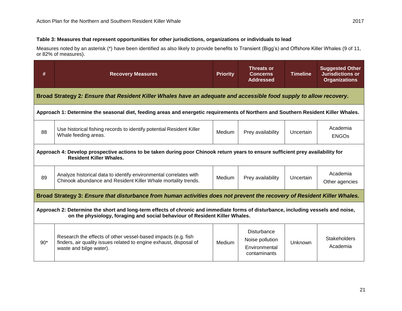#### **Table 3: Measures that represent opportunities for other jurisdictions, organizations or individuals to lead**

Measures noted by an asterisk (\*) have been identified as also likely to provide benefits to Transient (Bigg's) and Offshore Killer Whales (9 of 11, or 82% of measures).

| #                                                                                                                                                                 | <b>Recovery Measures</b>                                                                                                                                                                                         | <b>Priority</b> | <b>Threats or</b><br><b>Concerns</b><br><b>Addressed</b>               | <b>Timeline</b> | <b>Suggested Other</b><br><b>Jurisdictions or</b><br><b>Organizations</b> |
|-------------------------------------------------------------------------------------------------------------------------------------------------------------------|------------------------------------------------------------------------------------------------------------------------------------------------------------------------------------------------------------------|-----------------|------------------------------------------------------------------------|-----------------|---------------------------------------------------------------------------|
|                                                                                                                                                                   | Broad Strategy 2: Ensure that Resident Killer Whales have an adequate and accessible food supply to allow recovery.                                                                                              |                 |                                                                        |                 |                                                                           |
|                                                                                                                                                                   | Approach 1: Determine the seasonal diet, feeding areas and energetic requirements of Northern and Southern Resident Killer Whales.                                                                               |                 |                                                                        |                 |                                                                           |
| 88                                                                                                                                                                | Use historical fishing records to identify potential Resident Killer<br>Whale feeding areas.                                                                                                                     | Medium          | Prey availability                                                      | Uncertain       | Academia<br><b>ENGOs</b>                                                  |
| Approach 4: Develop prospective actions to be taken during poor Chinook return years to ensure sufficient prey availability for<br><b>Resident Killer Whales.</b> |                                                                                                                                                                                                                  |                 |                                                                        |                 |                                                                           |
| 89                                                                                                                                                                | Analyze historical data to identify environmental correlates with<br>Chinook abundance and Resident Killer Whale mortality trends.                                                                               | Medium          | Prey availability                                                      | Uncertain       | Academia<br>Other agencies                                                |
|                                                                                                                                                                   | Broad Strategy 3: Ensure that disturbance from human activities does not prevent the recovery of Resident Killer Whales.                                                                                         |                 |                                                                        |                 |                                                                           |
|                                                                                                                                                                   | Approach 2: Determine the short and long-term effects of chronic and immediate forms of disturbance, including vessels and noise,<br>on the physiology, foraging and social behaviour of Resident Killer Whales. |                 |                                                                        |                 |                                                                           |
| $90*$                                                                                                                                                             | Research the effects of other vessel-based impacts (e.g. fish<br>finders, air quality issues related to engine exhaust, disposal of<br>waste and bilge water).                                                   | Medium          | <b>Disturbance</b><br>Noise pollution<br>Environmental<br>contaminants | Unknown         | Stakeholders<br>Academia                                                  |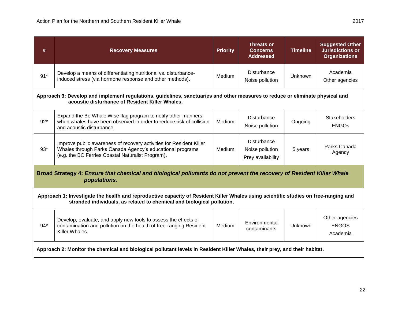| #                                                                                                                                     | <b>Recovery Measures</b>                                                                                                                                                                                      | <b>Priority</b> | <b>Threats or</b><br><b>Concerns</b><br><b>Addressed</b>   | <b>Timeline</b> | <b>Suggested Other</b><br><b>Jurisdictions or</b><br><b>Organizations</b> |
|---------------------------------------------------------------------------------------------------------------------------------------|---------------------------------------------------------------------------------------------------------------------------------------------------------------------------------------------------------------|-----------------|------------------------------------------------------------|-----------------|---------------------------------------------------------------------------|
| $91*$                                                                                                                                 | Develop a means of differentiating nutritional vs. disturbance-<br>induced stress (via hormone response and other methods).                                                                                   | Medium          | <b>Disturbance</b><br>Noise pollution                      | Unknown         | Academia<br>Other agencies                                                |
|                                                                                                                                       | Approach 3: Develop and implement regulations, guidelines, sanctuaries and other measures to reduce or eliminate physical and<br>acoustic disturbance of Resident Killer Whales.                              |                 |                                                            |                 |                                                                           |
| $92*$                                                                                                                                 | Expand the Be Whale Wise flag program to notify other mariners<br>when whales have been observed in order to reduce risk of collision<br>and acoustic disturbance.                                            | Medium          | <b>Disturbance</b><br>Noise pollution                      | Ongoing         | <b>Stakeholders</b><br><b>ENGOS</b>                                       |
| $93*$                                                                                                                                 | Improve public awareness of recovery activities for Resident Killer<br>Whales through Parks Canada Agency's educational programs<br>(e.g. the BC Ferries Coastal Naturalist Program).                         | Medium          | <b>Disturbance</b><br>Noise pollution<br>Prey availability | 5 years         | Parks Canada<br>Agency                                                    |
| Broad Strategy 4: Ensure that chemical and biological pollutants do not prevent the recovery of Resident Killer Whale<br>populations. |                                                                                                                                                                                                               |                 |                                                            |                 |                                                                           |
|                                                                                                                                       | Approach 1: Investigate the health and reproductive capacity of Resident Killer Whales using scientific studies on free-ranging and<br>stranded individuals, as related to chemical and biological pollution. |                 |                                                            |                 |                                                                           |
| $94*$                                                                                                                                 | Develop, evaluate, and apply new tools to assess the effects of<br>contamination and pollution on the health of free-ranging Resident<br>Killer Whales.                                                       | Medium          | Environmental<br>contaminants                              | Unknown         | Other agencies<br><b>ENGOS</b><br>Academia                                |
|                                                                                                                                       | Approach 2: Monitor the chemical and biological pollutant levels in Resident Killer Whales, their prey, and their habitat.                                                                                    |                 |                                                            |                 |                                                                           |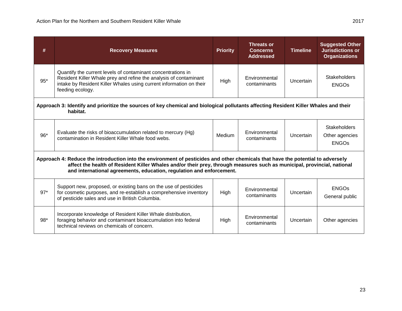| #                                                                                                                                                                                                                                                                                                                                  | <b>Recovery Measures</b>                                                                                                                                                                                                     | <b>Priority</b> | <b>Threats or</b><br><b>Concerns</b><br><b>Addressed</b> | <b>Timeline</b> | <b>Suggested Other</b><br><b>Jurisdictions or</b><br><b>Organizations</b> |
|------------------------------------------------------------------------------------------------------------------------------------------------------------------------------------------------------------------------------------------------------------------------------------------------------------------------------------|------------------------------------------------------------------------------------------------------------------------------------------------------------------------------------------------------------------------------|-----------------|----------------------------------------------------------|-----------------|---------------------------------------------------------------------------|
| $95*$                                                                                                                                                                                                                                                                                                                              | Quantify the current levels of contaminant concentrations in<br>Resident Killer Whale prey and refine the analysis of contaminant<br>intake by Resident Killer Whales using current information on their<br>feeding ecology. | High            | Environmental<br>contaminants                            | Uncertain       | <b>Stakeholders</b><br><b>ENGOs</b>                                       |
| Approach 3: Identify and prioritize the sources of key chemical and biological pollutants affecting Resident Killer Whales and their<br>habitat.                                                                                                                                                                                   |                                                                                                                                                                                                                              |                 |                                                          |                 |                                                                           |
| 96*                                                                                                                                                                                                                                                                                                                                | Evaluate the risks of bioaccumulation related to mercury (Hg)<br>contamination in Resident Killer Whale food webs.                                                                                                           | Medium          | Environmental<br>contaminants                            | Uncertain       | <b>Stakeholders</b><br>Other agencies<br><b>ENGOs</b>                     |
| Approach 4: Reduce the introduction into the environment of pesticides and other chemicals that have the potential to adversely<br>affect the health of Resident Killer Whales and/or their prey, through measures such as municipal, provincial, national<br>and international agreements, education, regulation and enforcement. |                                                                                                                                                                                                                              |                 |                                                          |                 |                                                                           |
| $97*$                                                                                                                                                                                                                                                                                                                              | Support new, proposed, or existing bans on the use of pesticides<br>for cosmetic purposes, and re-establish a comprehensive inventory<br>of pesticide sales and use in British Columbia.                                     | High            | Environmental<br>contaminants                            | Uncertain       | <b>ENGOs</b><br>General public                                            |
| $98*$                                                                                                                                                                                                                                                                                                                              | Incorporate knowledge of Resident Killer Whale distribution,<br>foraging behavior and contaminant bioaccumulation into federal<br>technical reviews on chemicals of concern.                                                 | High            | Environmental<br>contaminants                            | Uncertain       | Other agencies                                                            |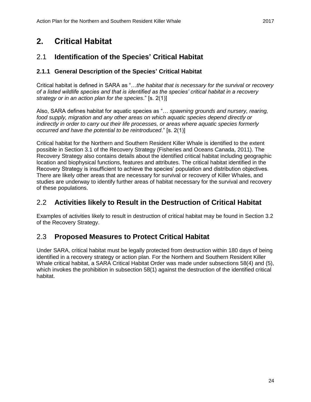## <span id="page-30-0"></span>**2. Critical Habitat**

### <span id="page-30-1"></span>2.1 **Identification of the Species' Critical Habitat**

### <span id="page-30-2"></span>**2.1.1 General Description of the Species' Critical Habitat**

Critical habitat is defined in SARA as "…*the habitat that is necessary for the survival or recovery of a listed wildlife species and that is identified as the species' critical habitat in a recovery strategy or in an action plan for the species*." [s. 2(1)]

Also, SARA defines habitat for aquatic species as "… *spawning grounds and nursery, rearing, food supply, migration and any other areas on which aquatic species depend directly or indirectly in order to carry out their life processes, or areas where aquatic species formerly occurred and have the potential to be reintroduced*." [s. 2(1)]

Critical habitat for the Northern and Southern Resident Killer Whale is identified to the extent possible in Section 3.1 of the Recovery Strategy (Fisheries and Oceans Canada, 2011). The Recovery Strategy also contains details about the identified critical habitat including geographic location and biophysical functions, features and attributes. The critical habitat identified in the Recovery Strategy is insufficient to achieve the species' population and distribution objectives. There are likely other areas that are necessary for survival or recovery of Killer Whales, and studies are underway to identify further areas of habitat necessary for the survival and recovery of these populations.

### <span id="page-30-3"></span>2.2 **Activities likely to Result in the Destruction of Critical Habitat**

Examples of activities likely to result in destruction of critical habitat may be found in Section 3.2 of the Recovery Strategy.

### <span id="page-30-4"></span>2.3 **Proposed Measures to Protect Critical Habitat**

Under SARA, critical habitat must be legally protected from destruction within 180 days of being identified in a recovery strategy or action plan. For the Northern and Southern Resident Killer Whale critical habitat, a SARA Critical Habitat Order was made under subsections 58(4) and (5), which invokes the prohibition in subsection 58(1) against the destruction of the identified critical habitat.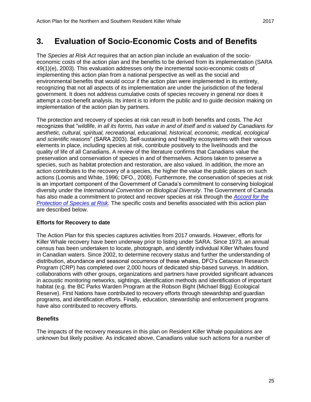## <span id="page-31-0"></span>**3. Evaluation of Socio-Economic Costs and of Benefits**

The *Species at Risk Act* requires that an action plan include an evaluation of the socioeconomic costs of the action plan and the benefits to be derived from its implementation (SARA 49(1)(e), 2003). This evaluation addresses only the incremental socio-economic costs of implementing this action plan from a national perspective as well as the social and environmental benefits that would occur if the action plan were implemented in its entirety, recognizing that not all aspects of its implementation are under the jurisdiction of the federal government. It does not address cumulative costs of species recovery in general nor does it attempt a cost-benefit analysis. Its intent is to inform the public and to guide decision making on implementation of the action plan by partners.

The protection and recovery of species at risk can result in both benefits and costs. The Act recognizes that "*wildlife, in all its forms, has value in and of itself and is valued by Canadians for aesthetic, cultural, spiritual, recreational, educational, historical, economic, medical, ecological and scientific reasons*" (SARA 2003). Self-sustaining and healthy ecosystems with their various elements in place, including species at risk, contribute positively to the livelihoods and the quality of life of all Canadians. A review of the literature confirms that Canadians value the preservation and conservation of species in and of themselves. Actions taken to preserve a species, such as habitat protection and restoration, are also valued. In addition, the more an action contributes to the recovery of a species, the higher the value the public places on such actions (Loomis and White, 1996; DFO., 2008). Furthermore, the conservation of species at risk is an important component of the Government of Canada's commitment to conserving biological diversity under the *International Convention on Biological Diversity*. The Government of Canada has also made a commitment to protect and recover species at risk through the *[Accord for the](http://www.ec.gc.ca/media_archive/press/2001/010919_b_e.htm)  [Protection of Species at Risk](http://www.ec.gc.ca/media_archive/press/2001/010919_b_e.htm)*. The specific costs and benefits associated with this action plan are described below.

### **Efforts for Recovery to date**

The Action Plan for this species captures activities from 2017 onwards. However, efforts for Killer Whale recovery have been underway prior to listing under SARA. Since 1973, an annual census has been undertaken to locate, photograph, and identify individual Killer Whales found in Canadian waters. Since 2002, to determine recovery status and further the understanding of distribution, abundance and seasonal occurrence of these whales, DFO's Cetacean Research Program (CRP) has completed over 2,000 hours of dedicated ship-based surveys. In addition, collaborations with other groups, organizations and partners have provided significant advances in acoustic monitoring networks, sightings, identification methods and identification of important habitat (e.g. the BC Parks Warden Program at the Robson Bight (Michael Bigg) Ecological Reserve). First Nations have contributed to recovery efforts through stewardship and guardian programs, and identification efforts. Finally, education, stewardship and enforcement programs have also contributed to recovery efforts.

### **Benefits**

The impacts of the recovery measures in this plan on Resident Killer Whale populations are unknown but likely positive. As indicated above, Canadians value such actions for a number of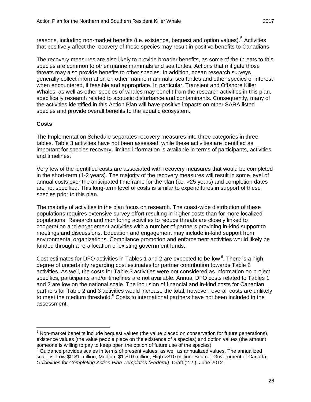reasons, including non-market benefits (i.e. existence, bequest and option values).<sup>5</sup> Activities that positively affect the recovery of these species may result in positive benefits to Canadians.

The recovery measures are also likely to provide broader benefits, as some of the threats to this species are common to other marine mammals and sea turtles. Actions that mitigate those threats may also provide benefits to other species. In addition, ocean research surveys generally collect information on other marine mammals, sea turtles and other species of interest when encountered, if feasible and appropriate. In particular, Transient and Offshore Killer Whales, as well as other species of whales may benefit from the research activities in this plan, specifically research related to acoustic disturbance and contaminants. Consequently, many of the activities identified in this Action Plan will have positive impacts on other SARA listed species and provide overall benefits to the aquatic ecosystem.

### **Costs**

 $\overline{a}$ 

The Implementation Schedule separates recovery measures into three categories in three tables. Table 3 activities have not been assessed; while these activities are identified as important for species recovery, limited information is available in terms of participants, activities and timelines.

Very few of the identified costs are associated with recovery measures that would be completed in the short-term (1-2 years). The majority of the recovery measures will result in some level of annual costs over the anticipated timeframe for the plan (i.e. >25 years) and completion dates are not specified. This long-term level of costs is similar to expenditures in support of these species prior to this plan.

The majority of activities in the plan focus on research. The coast-wide distribution of these populations requires extensive survey effort resulting in higher costs than for more localized populations. Research and monitoring activities to reduce threats are closely linked to cooperation and engagement activities with a number of partners providing in-kind support to meetings and discussions. Education and engagement may include in-kind support from environmental organizations. Compliance promotion and enforcement activities would likely be funded through a re-allocation of existing government funds.

Cost estimates for DFO activities in Tables 1 and 2 are expected to be low  $6$ . There is a high degree of uncertainty regarding cost estimates for partner contribution towards Table 2 activities. As well, the costs for Table 3 activities were not considered as information on project specifics, participants and/or timelines are not available. Annual DFO costs related to Tables 1 and 2 are low on the national scale. The inclusion of financial and in-kind costs for Canadian partners for Table 2 and 3 activities would increase the total; however, overall costs are unlikely to meet the medium threshold. $6 \text{ Costs}$  to international partners have not been included in the assessment.

 $<sup>5</sup>$  Non-market benefits include bequest values (the value placed on conservation for future generations),</sup> existence values (the value people place on the existence of a species) and option values (the amount someone is willing to pay to keep open the option of future use of the species).

 $6$  Guidance provides scales in terms of present values, as well as annualized values. The annualized scale is: Low \$0-\$1 million, Medium \$1-\$10 million, High >\$10 million. Source: Government of Canada. *Guidelines for Completing Action Plan Templates (Federal)*. Draft (2.2.). June 2012.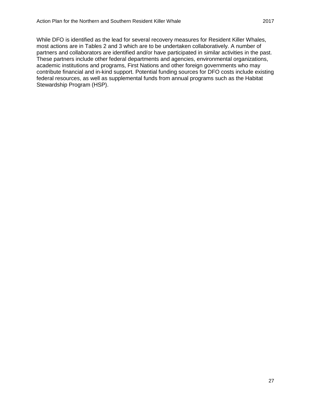While DFO is identified as the lead for several recovery measures for Resident Killer Whales, most actions are in Tables 2 and 3 which are to be undertaken collaboratively. A number of partners and collaborators are identified and/or have participated in similar activities in the past. These partners include other federal departments and agencies, environmental organizations, academic institutions and programs, First Nations and other foreign governments who may contribute financial and in-kind support. Potential funding sources for DFO costs include existing federal resources, as well as supplemental funds from annual programs such as the Habitat Stewardship Program (HSP).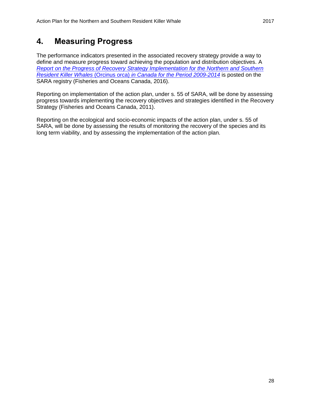## <span id="page-34-0"></span>**4. Measuring Progress**

The performance indicators presented in the associated recovery strategy provide a way to define and measure progress toward achieving the population and distribution objectives. A *[Report on the Progress of Recovery Strategy Implementation for the Northern and Southern](https://www.registrelep-sararegistry.gc.ca/document/default_e.cfm?documentID=3016)  Resident Killer Whales* (Orcinus orca) *[in Canada for the Period 2009-2014](https://www.registrelep-sararegistry.gc.ca/document/default_e.cfm?documentID=3016)* is posted on the SARA registry (Fisheries and Oceans Canada, 2016).

Reporting on implementation of the action plan, under s. 55 of SARA, will be done by assessing progress towards implementing the recovery objectives and strategies identified in the Recovery Strategy (Fisheries and Oceans Canada, 2011).

Reporting on the ecological and socio-economic impacts of the action plan, under s. 55 of SARA, will be done by assessing the results of monitoring the recovery of the species and its long term viability, and by assessing the implementation of the action plan.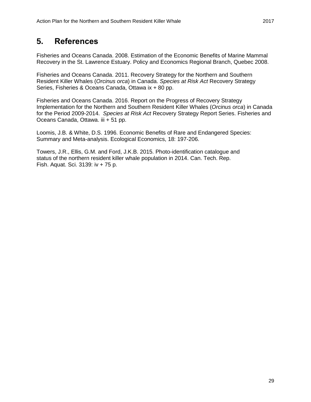## <span id="page-35-0"></span>**5. References**

Fisheries and Oceans Canada. 2008. Estimation of the Economic Benefits of Marine Mammal Recovery in the St. Lawrence Estuary. Policy and Economics Regional Branch, Quebec 2008.

Fisheries and Oceans Canada. 2011. Recovery Strategy for the Northern and Southern Resident Killer Whales (*Orcinus orca*) in Canada. *Species at Risk Act* Recovery Strategy Series, Fisheries & Oceans Canada, Ottawa ix + 80 pp.

Fisheries and Oceans Canada. 2016. Report on the Progress of Recovery Strategy Implementation for the Northern and Southern Resident Killer Whales (*Orcinus orca*) in Canada for the Period 2009-2014. *Species at Risk Act* Recovery Strategy Report Series. Fisheries and Oceans Canada, Ottawa. iii + 51 pp.

Loomis, J.B. & White, D.S. 1996. Economic Benefits of Rare and Endangered Species: Summary and Meta-analysis. Ecological Economics, 18: 197-206.

Towers, J.R., Ellis, G.M. and Ford, J.K.B. 2015. Photo-identification catalogue and status of the northern resident killer whale population in 2014. Can. Tech. Rep. Fish. Aquat. Sci. 3139: iv + 75 p.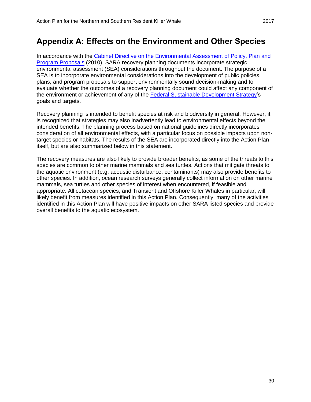## <span id="page-36-0"></span>**Appendix A: Effects on the Environment and Other Species**

In accordance with the [Cabinet Directive on the Environmental Assessment of Policy, Plan and](http://www.ceaa.gc.ca/default.asp?lang=En&n=B3186435-1)  [Program Proposals](http://www.ceaa.gc.ca/default.asp?lang=En&n=B3186435-1) (2010), SARA recovery planning documents incorporate strategic environmental assessment (SEA) considerations throughout the document. The purpose of a SEA is to incorporate environmental considerations into the development of public policies, plans, and program proposals to support environmentally sound decision-making and to evaluate whether the outcomes of a recovery planning document could affect any component of the environment or achievement of any of the [Federal Sustainable Development Strategy'](http://www.ec.gc.ca/dd-sd/default.asp?lang=En&n=A22718BA-1)s goals and targets.

Recovery planning is intended to benefit species at risk and biodiversity in general. However, it is recognized that strategies may also inadvertently lead to environmental effects beyond the intended benefits. The planning process based on national guidelines directly incorporates consideration of all environmental effects, with a particular focus on possible impacts upon nontarget species or habitats. The results of the SEA are incorporated directly into the Action Plan itself, but are also summarized below in this statement.

The recovery measures are also likely to provide broader benefits, as some of the threats to this species are common to other marine mammals and sea turtles. Actions that mitigate threats to the aquatic environment (e.g. acoustic disturbance, contaminants) may also provide benefits to other species. In addition, ocean research surveys generally collect information on other marine mammals, sea turtles and other species of interest when encountered, if feasible and appropriate. All cetacean species, and Transient and Offshore Killer Whales in particular, will likely benefit from measures identified in this Action Plan. Consequently, many of the activities identified in this Action Plan will have positive impacts on other SARA listed species and provide overall benefits to the aquatic ecosystem.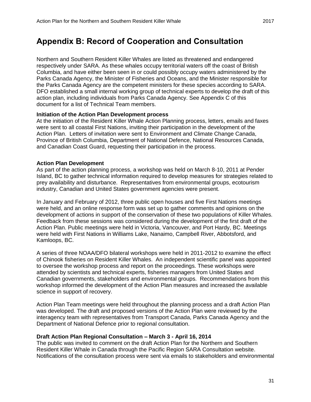<span id="page-37-0"></span>Northern and Southern Resident Killer Whales are listed as threatened and endangered respectively under SARA. As these whales occupy territorial waters off the coast of British Columbia, and have either been seen in or could possibly occupy waters administered by the Parks Canada Agency, the Minister of Fisheries and Oceans, and the Minister responsible for the Parks Canada Agency are the competent ministers for these species according to SARA. DFO established a small internal working group of technical experts to develop the draft of this action plan, including individuals from Parks Canada Agency. See Appendix C of this document for a list of Technical Team members.

### **Initiation of the Action Plan Development process**

At the initiation of the Resident Killer Whale Action Planning process, letters, emails and faxes were sent to all coastal First Nations, inviting their participation in the development of the Action Plan. Letters of invitation were sent to Environment and Climate Change Canada, Province of British Columbia, Department of National Defence, National Resources Canada, and Canadian Coast Guard, requesting their participation in the process.

### **Action Plan Development**

As part of the action planning process, a workshop was held on March 8-10, 2011 at Pender Island, BC to gather technical information required to develop measures for strategies related to prey availability and disturbance. Representatives from environmental groups, ecotourism industry, Canadian and United States government agencies were present.

In January and February of 2012, three public open houses and five First Nations meetings were held, and an online response form was set up to gather comments and opinions on the development of actions in support of the conservation of these two populations of Killer Whales. Feedback from these sessions was considered during the development of the first draft of the Action Plan. Public meetings were held in Victoria, Vancouver, and Port Hardy, BC. Meetings were held with First Nations in Williams Lake, Nanaimo, Campbell River, Abbotsford, and Kamloops, BC.

A series of three NOAA/DFO bilateral workshops were held in 2011-2012 to examine the effect of Chinook fisheries on Resident Killer Whales. An independent scientific panel was appointed to oversee the workshop process and report on the proceedings. These workshops were attended by scientists and technical experts, fisheries managers from United States and Canadian governments, stakeholders and environmental groups. Recommendations from this workshop informed the development of the Action Plan measures and increased the available science in support of recovery.

Action Plan Team meetings were held throughout the planning process and a draft Action Plan was developed. The draft and proposed versions of the Action Plan were reviewed by the interagency team with representatives from Transport Canada, Parks Canada Agency and the Department of National Defence prior to regional consultation.

#### **Draft Action Plan Regional Consultation – March 3 - April 16, 2014**

The public was invited to comment on the draft Action Plan for the Northern and Southern Resident Killer Whale in Canada through the Pacific Region SARA Consultation website. Notifications of the consultation process were sent via emails to stakeholders and environmental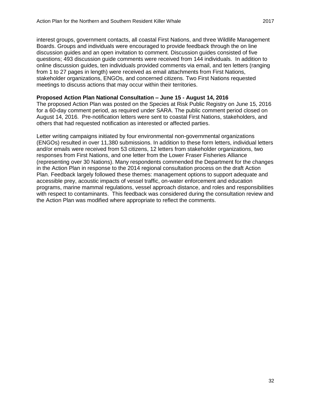interest groups, government contacts, all coastal First Nations, and three Wildlife Management Boards. Groups and individuals were encouraged to provide feedback through the on line discussion guides and an open invitation to comment. Discussion guides consisted of five questions; 493 discussion guide comments were received from 144 individuals. In addition to online discussion guides, ten individuals provided comments via email, and ten letters (ranging from 1 to 27 pages in length) were received as email attachments from First Nations, stakeholder organizations, ENGOs, and concerned citizens. Two First Nations requested meetings to discuss actions that may occur within their territories.

#### **Proposed Action Plan National Consultation – June 15 - August 14, 2016**

The proposed Action Plan was posted on the Species at Risk Public Registry on June 15, 2016 for a 60-day comment period, as required under SARA. The public comment period closed on August 14, 2016. Pre-notification letters were sent to coastal First Nations, stakeholders, and others that had requested notification as interested or affected parties.

Letter writing campaigns initiated by four environmental non-governmental organizations (ENGOs) resulted in over 11,380 submissions. In addition to these form letters, individual letters and/or emails were received from 53 citizens, 12 letters from stakeholder organizations, two responses from First Nations, and one letter from the Lower Fraser Fisheries Alliance (representing over 30 Nations). Many respondents commended the Department for the changes in the Action Plan in response to the 2014 regional consultation process on the draft Action Plan. Feedback largely followed these themes: management options to support adequate and accessible prey, acoustic impacts of vessel traffic, on-water enforcement and education programs, marine mammal regulations, vessel approach distance, and roles and responsibilities with respect to contaminants. This feedback was considered during the consultation review and the Action Plan was modified where appropriate to reflect the comments.